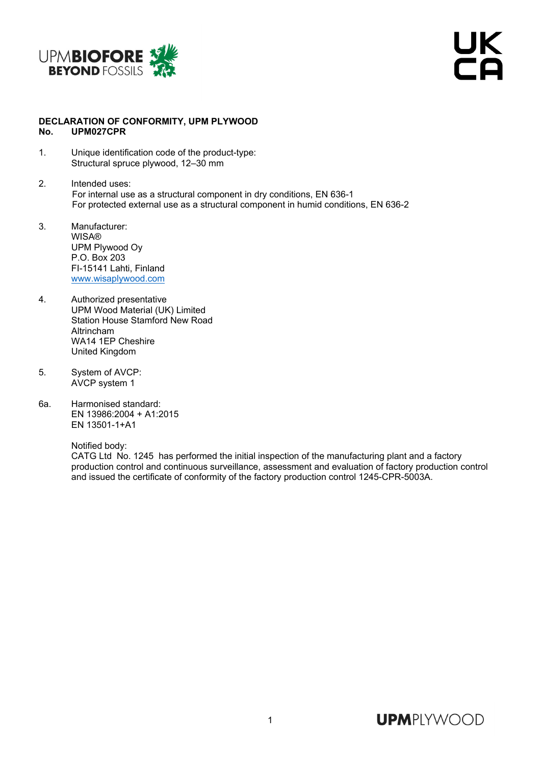

## **DECLARATION OF CONFORMITY, UPM PLYWOOD No. UPM027CPR**

- 1. Unique identification code of the product-type: Structural spruce plywood, 12–30 mm
- 2. Intended uses: For internal use as a structural component in dry conditions, EN 636-1 For protected external use as a structural component in humid conditions, EN 636-2
- 3. Manufacturer: **WISA®** UPM Plywood Oy P.O. Box 203 FI-15141 Lahti, Finland www.wisaplywood.com
- 4. Authorized presentative UPM Wood Material (UK) Limited Station House Stamford New Road Altrincham WA14 1EP Cheshire United Kingdom
- 5. System of AVCP: AVCP system 1
- 6a. Harmonised standard: EN 13986:2004 + A1:2015 EN 13501-1+A1

Notified body:

 CATG Ltd No. 1245 has performed the initial inspection of the manufacturing plant and a factory production control and continuous surveillance, assessment and evaluation of factory production control and issued the certificate of conformity of the factory production control 1245-CPR-5003A.

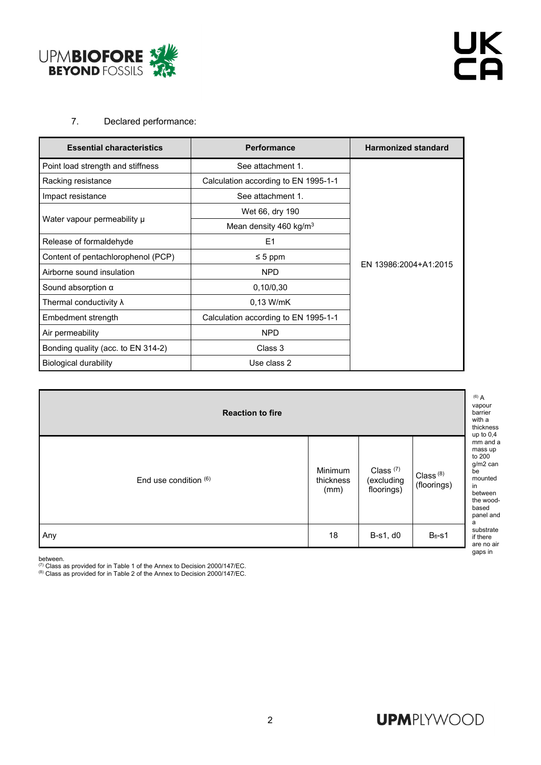

## 7. Declared performance:

| <b>Essential characteristics</b>   | <b>Performance</b>                   | <b>Harmonized standard</b> |  |
|------------------------------------|--------------------------------------|----------------------------|--|
| Point load strength and stiffness  | See attachment 1.                    |                            |  |
| Racking resistance                 | Calculation according to EN 1995-1-1 |                            |  |
| Impact resistance                  | See attachment 1.                    |                            |  |
| Water vapour permeability µ        | Wet 66, dry 190                      |                            |  |
|                                    | Mean density 460 kg/m <sup>3</sup>   |                            |  |
| Release of formaldehyde            | E <sub>1</sub>                       |                            |  |
| Content of pentachlorophenol (PCP) | $\leq 5$ ppm                         |                            |  |
| Airborne sound insulation          | <b>NPD</b>                           | EN 13986:2004+A1:2015      |  |
| Sound absorption $\alpha$          | 0,10/0,30                            |                            |  |
| Thermal conductivity $\lambda$     | $0.13$ W/mK                          |                            |  |
| Embedment strength                 | Calculation according to EN 1995-1-1 |                            |  |
| Air permeability                   | <b>NPD</b>                           |                            |  |
| Bonding quality (acc. to EN 314-2) | Class 3                              |                            |  |
| <b>Biological durability</b>       | Use class 2                          |                            |  |

| <b>Reaction to fire</b> |                              |                                                  |                            | $(6)$ A<br>vapour<br>barrier<br>with a<br>thickness<br>up to $0,4$                                                  |
|-------------------------|------------------------------|--------------------------------------------------|----------------------------|---------------------------------------------------------------------------------------------------------------------|
| End use condition $(6)$ | Minimum<br>thickness<br>(mm) | Class <sup>(7)</sup><br>(excluding<br>floorings) | Class $(8)$<br>(floorings) | mm and a<br>mass up<br>to 200<br>g/m2 can<br>be<br>mounted<br>in<br>between<br>the wood-<br>based<br>panel and<br>a |
| Any                     | 18                           | B-s1, d0                                         | $B_{fl}$ -s1               | substrate<br>if there<br>are no air<br>gaps in                                                                      |

between.<br><sup>(7)</sup> Class as provided for in Table 1 of the Annex to Decision 2000/147/EC.

 $(8)$  Class as provided for in Table 2 of the Annex to Decision 2000/147/EC.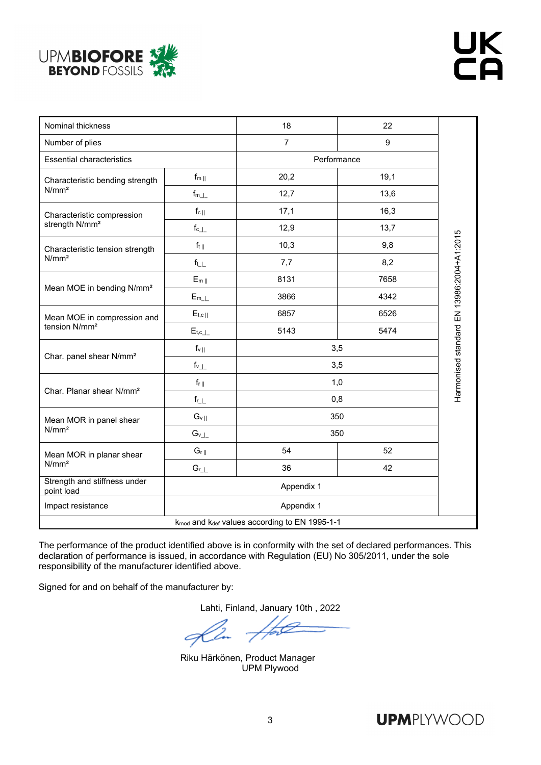

| Nominal thickness                                    |                                     | 18                                                                    | 22          |                                           |
|------------------------------------------------------|-------------------------------------|-----------------------------------------------------------------------|-------------|-------------------------------------------|
| Number of plies                                      |                                     | $\overline{7}$                                                        | 9           |                                           |
| <b>Essential characteristics</b>                     |                                     |                                                                       | Performance |                                           |
| Characteristic bending strength<br>N/mm <sup>2</sup> | $f_{m\parallel}$                    | 20,2                                                                  | 19,1        |                                           |
|                                                      | $\mathsf{f}_{\mathsf{m}\perp\perp}$ | 12,7                                                                  | 13,6        |                                           |
| Characteristic compression                           | $f_c$                               | 17,1                                                                  | 16,3        |                                           |
| strength N/mm <sup>2</sup>                           | $\mathsf{f}_{\mathrm{c}\perp}$      | 12,9                                                                  | 13,7        |                                           |
| Characteristic tension strength                      | $f_{t  }$                           | 10,3                                                                  | 9,8         |                                           |
| N/mm <sup>2</sup>                                    | $f_{t}$                             | 7,7                                                                   | 8,2         |                                           |
|                                                      | $E_{m  }$                           | 8131                                                                  | 7658        |                                           |
| Mean MOE in bending N/mm <sup>2</sup>                | $E_{m_{\perp}}$                     | 3866                                                                  | 4342        |                                           |
| Mean MOE in compression and                          | $E_{t,c  }$                         | 6857                                                                  | 6526        |                                           |
| tension N/mm <sup>2</sup>                            | $E_{t,c_\perp}$                     | 5143                                                                  | 5474        |                                           |
|                                                      | $f_{v\,\parallel}$                  | 3,5                                                                   |             |                                           |
| Char. panel shear N/mm <sup>2</sup>                  | $f_{v\_ \_}$                        | 3,5                                                                   |             | Harmonised standard EN 13986:2004+A1:2015 |
|                                                      | $f_{r  }$                           | 1,0                                                                   |             |                                           |
| Char. Planar shear N/mm <sup>2</sup>                 | $f_{r\_ _{-}}$                      | 0,8                                                                   |             |                                           |
| Mean MOR in panel shear<br>N/mm <sup>2</sup>         | $G_{v  }$                           | 350                                                                   |             |                                           |
|                                                      | $G_{v\_ _{-}}$                      | 350                                                                   |             |                                           |
| Mean MOR in planar shear<br>N/mm <sup>2</sup>        | $G_r$                               | 54                                                                    | 52          |                                           |
|                                                      | $G_{r\perp\perp}$                   | 36                                                                    | 42          |                                           |
| Strength and stiffness under<br>point load           | Appendix 1                          |                                                                       |             |                                           |
| Impact resistance                                    | Appendix 1                          |                                                                       |             |                                           |
|                                                      |                                     | k <sub>mod</sub> and k <sub>def</sub> values according to EN 1995-1-1 |             |                                           |

The performance of the product identified above is in conformity with the set of declared performances. This declaration of performance is issued, in accordance with Regulation (EU) No 305/2011, under the sole responsibility of the manufacturer identified above.

Signed for and on behalf of the manufacturer by:

Lahti, Finland, January 10th , 2022

Riku Härkönen, Product Manager UPM Plywood